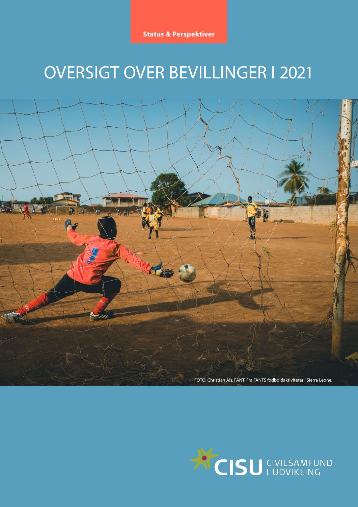**Status & Perspektiver**

# OVERSIGT OVER BEVILLINGER I 2021



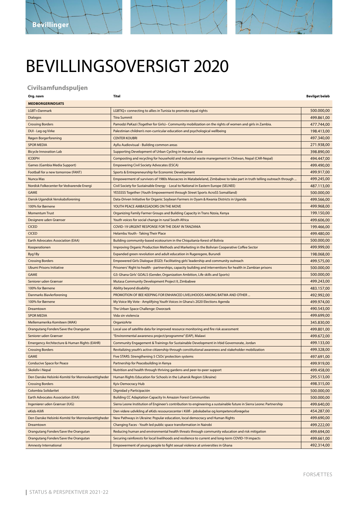

# BEVILLINGSOVERSIGT 2020

#### **Civilsamfundspuljen**

| Org. navn | Titel | <b>Bevilget beløk</b> |
|-----------|-------|-----------------------|
|           |       |                       |

| <b>MEDBORGERINDSATS</b>                            |                                                                                                                      |            |
|----------------------------------------------------|----------------------------------------------------------------------------------------------------------------------|------------|
| LGBT+Danmark                                       | LGBTIQ+ connecting to allies in Tunisia to promote equal rights                                                      | 500.000,00 |
| <b>Dialogos</b>                                    | <b>Tiira Summit</b>                                                                                                  | 499.861,00 |
| <b>Crossing Borders</b>                            | Pamodzi PaKazi (Together for Girls)– Community mobilization on the rights of women and girls in Zambia.              | 477.744,00 |
| DUI - Leg og Virke                                 | Palestinian children's non-curricular education and psychological wellbeing                                          | 198.413,00 |
| Røgen Borgerforening                               | <b>CENTER KOUBRI</b>                                                                                                 | 497.340,00 |
| <b>SPOR MEDIA</b>                                  | Ayllu Audiovisual - Building common areas                                                                            | 271.938,00 |
| <b>Bicycle Innovation Lab</b>                      | Supporting Development of Urban Cycling in Havana, Cuba                                                              | 398.890,00 |
| <b>ICOEPH</b>                                      | Composting and recycling for household and industrial waste manegement in Chitwan, Nepal (CAR-Nepal)                 | 494.447,00 |
| Games (Gambia Media Support)                       | <b>Empowering Civil Society Advocates (ESCA)</b>                                                                     | 499.490,00 |
| Football for a new tomorrow (FANT)                 | Sports & Entrepreneurship for Economic Development                                                                   | 499.917,00 |
| Nunca Mas                                          | Empowerment of survivors of 1980s Massacres in Matabeleland, Zimbabwe to take part in truth telling outreach through | 499.245,00 |
| Nordisk Folkecenter for Vedvarende Energi          | Civil Society for Sustainable Energy - Local to National in Eastern Europe (SELNEE)                                  | 487.113,00 |
| <b>GAME</b>                                        | YESSSSS Together (Youth Empowerment through Street Sports AcroSS Somaliland)                                         | 500.000,00 |
| Dansk-Ugandisk Venskabsforening                    | Data-Driven Initiative for Organic Soybean Farmers in Oyam & Kwania Districts in Uganda                              | 499.566,00 |
| 100% for Børnene                                   | YOUTH PEACE AMBASSADORS ON THE MOVE                                                                                  | 499.968,00 |
| <b>Momentum Trust</b>                              | Organizing Family Farmer Groups and Building Capacity in Trans Nzoia, Kenya                                          | 199.150,00 |
| Designere uden Grænser                             | Youth voices for social change in rural South Africa                                                                 | 499.606,00 |
| <b>CICED</b>                                       | COVID-19 URGENT RESPONSE FOR THE DEAF IN TANZANIA                                                                    | 199.466,00 |
| <b>CICED</b>                                       | Helambu Youth - Taking Their Place                                                                                   | 499.480,00 |
| <b>Earth Advocates Association (EAA)</b>           | Building community-based ecotourism in the Chiquitania-forest of Bolivia                                             | 500.000,00 |
| Kooperationen                                      | Improving Organic Production Methods and Marketing in the Bolivian Cooperative Coffee Sector                         | 499.999,00 |
| Byg1By                                             | Expanded green revolution and adult education in Rugeregere, Burundi                                                 | 198.068,00 |
| <b>Crossing Borders</b>                            | Empowered Girls Dialogue (EGD): Facilitating girls' leadership and community outreach                                | 499.575,00 |
| <b>Ubumi Prisons Initiative</b>                    | Prisoners' Right to health - partnerships, capacity building and interventions for health in Zambian prisons         | 500.000,00 |
| <b>GAME</b>                                        | G3: Ghana Girls' GOALS (Gender, Organization Ambition, Life skills and Sports)                                       | 500.000,00 |
| Seniorer uden Grænser                              | Mutasa Community Development Project II, Zimbabwe                                                                    | 499.243,00 |
| 100% for Børnene                                   | Ability beyond disability                                                                                            | 483.157,00 |
| Danmarks Biavlerforening                           | PROMOTION OF BEE KEEPING FOR ENHANCED LIVELIHOODS AMONG BATWA AND OTHER                                              | 492.992,00 |
| 100% for Børnene                                   | My Voice My Vote - Amplifying Youth Voices in Ghana's 2020 Elections Agenda                                          | 499.974,00 |
| Dreamtown                                          | The Urban Space Challenge: Dworzark                                                                                  | 490.543,00 |
| <b>SPOR MEDIA</b>                                  | Vida sin violencia                                                                                                   | 499.699,00 |
| Mellemamerika Komiteen (MAK)                       | OrganizArte                                                                                                          | 345.830,00 |
| Orangutang Fonden/Save the Orangutan               | Local use of satellite data for improved resource monitoring and fire risk assessment                                | 499.801,00 |
| Seniorer uden Grænser                              |                                                                                                                      | 499.672,00 |
|                                                    | "Environmental awareness project/programme" (EAP), Malawi                                                            |            |
| Emergency Architecture & Human Rights (EAHR)       | Community Engagement & Trainings for Sustainable Development in Irbid Governorate, Jordan                            | 499.133,00 |
| <b>Crossing Borders</b>                            | Revitalizing youth's active citizenship through constitutional awareness and stakeholder mobilization                | 499.328,00 |
| <b>GAME</b>                                        | Five STARS: Strengthening 5 CSOs' protection systems                                                                 | 497.691,00 |
| <b>Conducive Space for Peace</b>                   | Partnership for Peacebuilding in Kenya                                                                               | 499.919,00 |
| Skoleliv i Nepal                                   | Nutrition and health through thriving gardens and peer-to-peer support                                               | 499.458,00 |
| Den Danske Helsinki-Komité for Menneskerettigheder | Human Rights Education for Schools in the Luhansk Region (Ukraine)                                                   | 295.513,00 |
| <b>Crossing Borders</b>                            | Kyiv Democracy Hub                                                                                                   | 498.315,00 |
| Colombia Solidaritet                               | Dignidad y Participación                                                                                             | 500.000,00 |
| <b>Earth Advocates Association (EAA)</b>           | <b>Building CC Adaptation Capacity In Amazon Forest Communities</b>                                                  | 500.000,00 |
| Ingeniører uden Grænser (IUG)                      | Sierra Leone Institution of Engineer's contribution to engineering a sustainable future in Sierra Leone: Partnership | 499.640,00 |
| eKids-Kilifi                                       | Den videre udvikling af eKids ressourcecenter i Kilifi - jobskabelse og kompetenceforøgelse                          | 454.287,00 |
| Den Danske Helsinki-Komité for Menneskerettigheder | New Pathways in Ukraine: Popular education, local democracy and Human Rights                                         | 499.690,00 |
| Dreamtown                                          | Changing Faces - Youth led public space transformation in Nairobi                                                    | 499.222,00 |
| Orangutang Fonden/Save the Orangutan               | Reducing human and environmental health threats through community education and risk mitigation                      | 499.694,00 |
| Orangutang Fonden/Save the Orangutan               | Securing rainforests for local livelihoods and resilience to current and long-term COVID-19 impacts                  | 499.661,00 |
| <b>Amnesty International</b>                       | Empowerment of young people to fight sexual violence at universities in Ghana                                        | 492.314,00 |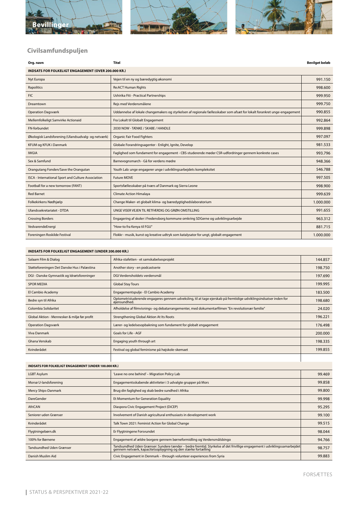





## **Civilsamfundspuljen**

| Org. navn                                           | <b>Titel</b>                                                                                                             | <b>Bevilget beløb</b> |
|-----------------------------------------------------|--------------------------------------------------------------------------------------------------------------------------|-----------------------|
| INDSATS FOR FOLKELIGT ENGAGEMENT (OVER 200.000 KR.) |                                                                                                                          |                       |
| Nyt Europa                                          | Vejen til en ny og bæredygtig økonomi                                                                                    | 991.150               |
| Rapolitics                                          | <b>Re:ACT Human Rights</b>                                                                                               | 998.600               |
| <b>FIC</b>                                          | Ushirika Fiti - Practical Partnerships                                                                                   | 999.950               |
| Dreamtown                                           | Rejs med Verdensmålene                                                                                                   | 999.750               |
| <b>Operation Dagsværk</b>                           | Uddannelse af lokale changemakers og styrkelsen af regionale fællesskaber som afsæt for lokalt forankret unge-engagement | 990.855               |
| Mellemfolkeligt Samvirke Actionaid                  | Fra Lokalt til Globalt Engagement                                                                                        | 992.864               |
| FN-forbundet                                        | 2030 NOW - TÆNKE / SKABE / HANDLE                                                                                        | 999.898               |
| Økologisk Landsforening (Ulandsudvalg- og netværk)  | Organic Fair Food Fighters                                                                                               | 997.097               |
| KFUM og KFUK i Danmark                              | Globale Forandringsagenter - Enlight, Ignite, Develop                                                                    | 981.533               |
| <b>IWGIA</b>                                        | Faglighed som fundament for engagement - CBS-studerende møder CSR-udfordringer gennem konkrete cases                     | 993.796               |
| Sex & Samfund                                       | Barnevognsmarch - Gå for verdens mødre                                                                                   | 948.366               |
| Orangutang Fonden/Save the Orangutan                | Youth Lab: unge engagerer unge i udviklingsarbejdets kompleksitet                                                        | 546.788               |
| ISCA - International Sport and Culture Association  | <b>Future MOVE</b>                                                                                                       | 997.505               |
| Football for a new tomorrow (FANT)                  | Sportsfællesskaber på tværs af Danmark og Sierra Leone                                                                   | 998.900               |
| <b>Red Barnet</b>                                   | <b>Climate Action Himalaya</b>                                                                                           | 999.639               |
| Folkekirkens Nødhjælp                               | Change Maker- et globalt klima- og bæredygtighedslaboratorium                                                            | 1.000.000             |
| Ulandssekretariatet - DTDA                          | UNGE VISER VEJEN TIL RETFÆRDIG OG GRØN OMSTILLING                                                                        | 991.655               |
| <b>Crossing Borders</b>                             | Engagering af skoler i Fredensborg kommune omkring SDGerne og udviklingsarbejde                                          | 963.312               |
| VedvarendeEnergi                                    | "How-to fra Kenya til FGU"                                                                                               | 881.715               |
| Foreningen Roskilde Festival                        | Flokkr - musik, kunst og kreative udtryk som katalysator for ungt, globalt engagement                                    | 1.000.000             |

#### **INDSATS FOR FOLKELIGT ENGAGEMENT (UNDER 200.000 KR.)**

| Salaam Film & Dialog                         | Afrika-stafetten - et samskabelsesprojekt                                                                                         | 144.857 |
|----------------------------------------------|-----------------------------------------------------------------------------------------------------------------------------------|---------|
| Støtteforeningen Det Danske Hus i Palæstina  | Another story - en podcastserie                                                                                                   | 198.750 |
| DGI - Danske Gymnastik og Idrætsforeninger   | DGI Verdensholdets verdensmål                                                                                                     | 197.690 |
| <b>SPOR MEDIA</b>                            | <b>Global Stay Tours</b>                                                                                                          | 199.995 |
| El Cambio Academy                            | Engagementspulje - El Cambio Academy                                                                                              | 183.500 |
| Bedre syn til Afrika                         | Optometristuderende engageres gennem udveksling, til at tage ejerskab på fremtidige udviklingsindsatser inden for<br>øjensundhed. | 198.680 |
| Colombia Solidaritet                         | Afholdelse af filmvisnings- og debatarrangementer, med dokumentarfilmen "En revolutionær familie"                                 | 24.020  |
| Global Aktion - Mennesker & miljø før profit | Strengthening Global Aktion At Its Roots                                                                                          | 196.221 |
| <b>Operation Dagsværk</b>                    | Lærer- og ledelsesopbakning som fundament for globalt engagement                                                                  | 176.498 |
| <b>Viva Danmark</b>                          | Goals for Life - AGF                                                                                                              | 200,000 |
| Ghana Venskab                                | Engaging youth through art                                                                                                        | 198.335 |
| Kvinderådet                                  | Festival og global feminisme på højskole-skemaet                                                                                  | 199.855 |
|                                              |                                                                                                                                   |         |

#### **INDSATS FOR FOLKELIGT ENGAGEMENT (UNDER 100.000 KR.)**

| 'Leave no one behind' - Migration Policy Lab                           | 99.469                                                                                                                   |
|------------------------------------------------------------------------|--------------------------------------------------------------------------------------------------------------------------|
| Engagementsskabende aktiviteter i 3 udvalgte grupper på Mors           | 99.858                                                                                                                   |
| Brug din faglighed og skab bedre sundhed i Afrika                      | 99.800                                                                                                                   |
| Et Momentum for Generation Equality                                    | 99.998                                                                                                                   |
| Diaspora Civic Engagement Project (DiCEP)                              | 95.295                                                                                                                   |
| Involvement of Danish agricultural enthusiasts in development work     | 99.100                                                                                                                   |
| Talk Town 2021: Feminist Action for Global Change                      | 99.515                                                                                                                   |
| Er Flygtningene Forsvundet                                             | 98.044                                                                                                                   |
| Engagement af ældre borgere gennem børneformidling og Verdensmålsbingo | 94.766                                                                                                                   |
|                                                                        | 98.757                                                                                                                   |
| Civic Engagement in Denmark - through volunteer experiences from Syria | 99.883                                                                                                                   |
|                                                                        | Tandsundhed Uden Grænser: Sundere tænder – bedre fremtid. Styrkelse af det frivillige engagement i udviklingssamarbejdet |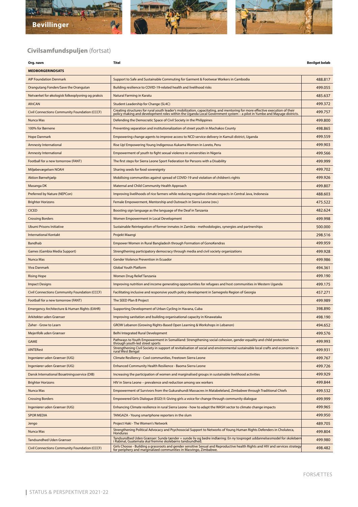



**Org. navn Titel Bevilget beløb**



## **Civilsamfundspuljen** (fortsat)

| <b>MEDBORGERINDSATS</b>                              |                                                                                                                                                                                                                                  |         |
|------------------------------------------------------|----------------------------------------------------------------------------------------------------------------------------------------------------------------------------------------------------------------------------------|---------|
| <b>AIP Foundation Denmark</b>                        | Support to Safe and Sustainable Commuting for Garment & Footwear Workers in Cambodia                                                                                                                                             | 488.817 |
| Orangutang Fonden/Save the Orangutan                 | Building resilience to COVID-19-related health and livelihood risks                                                                                                                                                              | 499.055 |
| Netværket for økologisk folkeoplysning og praksis    | Natural Farming in Karatu                                                                                                                                                                                                        | 485.637 |
| <b>AfriCAN</b>                                       | Student Leadership for Change (SL4C)                                                                                                                                                                                             | 499.372 |
| <b>Civil Connections Community Foundation (CCCF)</b> | Creating structures for rural youth leader's mobilization, capacitating, and mentoring for more effective execution of their<br>policy making and development roles within the Uganda Local Government system – a pilot in Yumbe | 499.757 |
| Nunca Mas                                            | Defending the Democratic Space of Civil Society in the Philippines                                                                                                                                                               | 499.800 |
| 100% for Børnene                                     | Preventing separation and institutionalization of street youth in Machakos County                                                                                                                                                | 498.865 |
| <b>Hope Danmark</b>                                  | Empowering change agents to improve access to NCD service delivery in Kamuli district, Uganda                                                                                                                                    | 499.559 |
| <b>Amnesty International</b>                         | Rise Up! Empowering Young Indigenous Kukama Women in Loreto, Peru                                                                                                                                                                | 499.903 |
| <b>Amnesty International</b>                         | Empowerment of youth to fight sexual violence in universities in Nigeria                                                                                                                                                         | 499.566 |
| Football for a new tomorrow (FANT)                   | The first steps for Sierra Leone Sport Federation for Persons with a Disability                                                                                                                                                  | 499.999 |
| Miljøbevægelsen NOAH                                 | Sharing seeds for food sovereignty                                                                                                                                                                                               | 499.702 |
| Aktion Børnehjælp                                    | Mobilising communities against spread of COVID-19 and violation of children's rights                                                                                                                                             | 499.926 |
| Masanga DK                                           | Maternal and Child Community Health Approach                                                                                                                                                                                     | 499.807 |
| Preferred by Nature (NEPCon)                         | Improving livelihoods of rice farmers while reducing negative climate impacts in Central Java, Indonesia                                                                                                                         | 488.603 |
| <b>Brighter Horizons</b>                             | Female Empowerment, Mentorship and Outreach in Sierra Leone (rev.)                                                                                                                                                               | 475.522 |
| <b>CICED</b>                                         | Boosting sign language as the language of the Deaf in Tanzania                                                                                                                                                                   | 482.624 |
| <b>Crossing Borders</b>                              | Women Empowerment in Local Development                                                                                                                                                                                           | 499.998 |
| <b>Ubumi Prisons Initiative</b>                      | Sustainable Reintegration of former inmates in Zambia - methodologies, synergies and partnerships                                                                                                                                | 500.000 |
| <b>International Kontakt</b>                         | Projekt Maangi                                                                                                                                                                                                                   | 298.516 |
| Bandhab                                              | Empower Women in Rural Bangladesh through Formation of GonoKendras                                                                                                                                                               | 499.959 |
| Games (Gambia Media Support)                         | Strengthening participatory democracy through media and civil society organizations                                                                                                                                              | 499.928 |
| Nunca Mas                                            | <b>Gender Violence Prevention in Ecuador</b>                                                                                                                                                                                     | 499.986 |
| Viva Danmark                                         | <b>Global Youth Platform</b>                                                                                                                                                                                                     | 494.361 |
| <b>Rising Hope</b>                                   | Women Drug Relief Tanzania                                                                                                                                                                                                       | 499.190 |
| <b>Impact Designs</b>                                | Improving nutrition and income generating opportunities for refugees and host communities in Western Uganda                                                                                                                      | 499.175 |
| <b>Civil Connections Community Foundation (CCCF)</b> | Facilitating inclusive and responsive youth policy development in Samegrelo Region of Georgia                                                                                                                                    | 457.271 |
| Football for a new tomorrow (FANT)                   | The SEED Plan B Project                                                                                                                                                                                                          | 499.989 |
| Emergency Architecture & Human Rights (EAHR)         | Supporting Development of Urban Cycling in Havana, Cuba                                                                                                                                                                          | 398.890 |
| Arkitekter uden Grænser                              | Improving sanitation and building organisational capacity in Kinawataka                                                                                                                                                          | 498.190 |
| Zaher - Grow to Learn                                | GROW Lebanon (Growing Rights-Based Open Learning & Workshops in Lebanon)                                                                                                                                                         | 494.652 |
| Mejerifolk uden Grænser                              | <b>Belhi Integrated Rural Development</b>                                                                                                                                                                                        | 499.576 |
| <b>GAME</b>                                          | Pathways to Youth Empowerment in Somaliland: Strengthening social cohesion, gender equality and child protection<br>through youth-led street sports                                                                              | 499.993 |
| <b>iilNTERest</b>                                    | Strengthening Civil Society in support of revitalisation of social and environmental sustainable local crafts and economies in<br>rural West Bengal                                                                              | 499.931 |
| Ingeniører uden Grænser (IUG)                        | Climate Resiliency - Cool communities, Freetown Sierra Leone                                                                                                                                                                     | 499.767 |
| Ingeniører uden Grænser (IUG)                        | Enhanced Community Health Resilience - Baoma Sierra Leone                                                                                                                                                                        | 499.726 |
| Dansk International Bosætningsservice (DIB)          | Increasing the participation of women and marginalised groups in sustainable livelihood activities                                                                                                                               | 499.929 |
| <b>Brighter Horizons</b>                             | HIV in Sierra Leone - prevalence and reduction among sex workers                                                                                                                                                                 | 499.844 |
| Nunca Mas                                            | Empowerment of Survivors from the Gukurahundi Massacres in Matabeleland, Zimbabwe through Traditional Chiefs                                                                                                                     | 499.532 |
| <b>Crossing Borders</b>                              | Empowered Girls Dialogue (EGD) II: Giving girls a voice for change through community dialogue                                                                                                                                    | 499.999 |
| Ingeniører uden Grænser (IUG)                        | Enhancing Climate resilience in rural Sierra Leone - how to adapt the WASH sector to climate change impacts                                                                                                                      | 499.965 |
| <b>SPOR MEDIA</b>                                    | TANGAZA - Young smartphone reporters in the slum                                                                                                                                                                                 | 499.950 |
| Jengo                                                | Project Haki - The Women's Network                                                                                                                                                                                               | 489.705 |
| Nunca Mas                                            | Strengthening Political Advocacy and Psychosocial Support to Networks of Young Human Rights Defenders in Choluteca,<br>Honduras                                                                                                  | 499.804 |
| <b>Tandsundhed Uden Grænser</b>                      | Tandsundhed Uden Grænser: Sunde tænder = sunde liv og bedre indlæring: En ny tosproget uddannelsesmodel for skolebørn<br>i Rabinal, Guatemala skal fremme skolebørns tandsundhed                                                 | 499.980 |
| <b>Civil Connections Community Foundation (CCCF)</b> | Girls Choose - Building a grassroots and gender sensitive Sexual and Reproductive health Rights and HIV and services strategy<br>for periphery and marginalized communities in Masvingo, Zimbabwe.                               | 498.482 |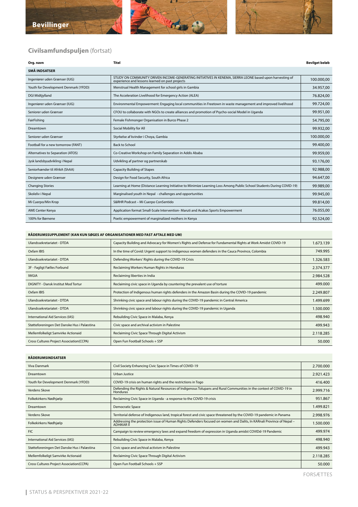



## **Civilsamfundspuljen** (fortsat)

| Org. navn                            | Titel                                                                                                                                                       | Bevilget beløb |
|--------------------------------------|-------------------------------------------------------------------------------------------------------------------------------------------------------------|----------------|
| <b>SMÅ INDSATSER</b>                 |                                                                                                                                                             |                |
| Ingeniører uden Grænser (IUG)        | STUDY ON COMMUNITY DRIVEN INCOME-GENERATING INITIATIVES IN KENEMA, SIERRA LEONE based upon harvesting of<br>experience and lessons learned on past projects | 100.000,00     |
| Youth for Development Denmark (YFDD) | Menstrual Health Management for school girls in Gambia                                                                                                      | 34.957,00      |
| <b>DGI Midtjylland</b>               | The Acceleration Livelihood for Emergency Action (ALEA)                                                                                                     | 76.824,00      |
| Ingeniører uden Grænser (IUG)        | Environmental Empowerment: Engaging local communities in Freetown in waste management and improved livelihood                                               | 99.724,00      |
| Seniorer uden Grænser                | CFOU to collaborate with NGOs to create alliances and promotion of Psycho-social Model in Uganda                                                            | 99.951.00      |
| FairFishing                          | Female Fishmonger Organisation in Burco Phase 2                                                                                                             | 54.795,00      |
| Dreamtown                            | Social Mobility for All                                                                                                                                     | 99.932.00      |
| Seniorer uden Grænser                | Styrkelse af kvinder i Choya, Gambia                                                                                                                        | 100.000,00     |
| Football for a new tomorrow (FANT)   | <b>Back to School</b>                                                                                                                                       | 99.400,00      |
| Alternatives to Separation (ATOS)    | Co-Creative Workshop on Family Separation in Addis Ababa                                                                                                    | 99.959,00      |
| Jysk landsbyudvikling i Nepal        | Udvikling af partner og partnerskab                                                                                                                         | 93.176,00      |
| Seniorhænder til AfrikA (ShAA)       | <b>Capacity Building of Stapes</b>                                                                                                                          | 92.988.00      |
| Designere uden Grænser               | Design for Food Security, South Africa                                                                                                                      | 94.647,00      |
| <b>Changing Stories</b>              | Learning at Home (Distance Learning Initiative to Minimize Learning Loss Among Public School Students During COVID-19)                                      | 99.989,00      |
| Skoleliv i Nepal                     | Marginalised youth in Nepal - challenges and opportunities                                                                                                  | 99.945,00      |
| Mi Cuerpo/Min Krop                   | S&RHR Podcast - Mi Cuerpo ConSentido                                                                                                                        | 99.814,00      |
| <b>AWE Center Kenya</b>              | Application format Small-Scale Intervention- Maruti and Acakas Sports Empowerment                                                                           | 76.055,00      |
| 100% for Børnene                     | Poetic empowerment of marginalized mothers in Kenya                                                                                                         | 92.524,00      |

#### **RÅDERUMSSUPPLEMENT (KAN KUN SØGES AF ORGANISATIONER MED FAST AFTALE MED UM)**

| Ulandssekretariatet - DTDA                  | Capacity Building and Advocacy for Women's Rights and Defense for Fundamental Rights at Work Amidst COVID-19 | 1.673.139 |
|---------------------------------------------|--------------------------------------------------------------------------------------------------------------|-----------|
| Oxfam IBIS                                  | In the time of Covid: Urgent support to indigenous women defenders in the Cauca Province, Colombia           | 749.995   |
| Ulandssekretariatet - DTDA                  | Defending Workers' Rights during the COVID-19 Crisis                                                         | 1.326.583 |
| 3F - Fagligt Fælles Forbund                 | Reclaiming Workers Human Rights in Honduras                                                                  | 2.374.377 |
| <b>IWGIA</b>                                | Reclaiming liberties in India                                                                                | 2.984.528 |
| DIGNITY - Dansk Institut Mod Tortur         | Reclaiming civic space in Uganda by countering the prevalent use of torture                                  | 499,000   |
| Oxfam IBIS                                  | Protection of Indigenous human rights defenders in the Amazon Basin during the COVID-19 pandemic             | 2.249.807 |
| Ulandssekretariatet - DTDA                  | Shrinking civic space and labour rights during the COVID-19 pandemic in Central America                      | 1.499.699 |
| Ulandssekretariatet - DTDA                  | Shrinking civic space and labour rights during the COVID-19 pandemic in Uganda                               | 1.500.000 |
| International Aid Services (IAS)            | Rebuilding Civic Space in Malaba, Kenya                                                                      | 498.940   |
| Støtteforeningen Det Danske Hus i Palæstina | Civic space and archival activism in Palestine                                                               | 499.943   |
| Mellemfolkeligt Samvirke Actionaid          | Reclaiming Civic Space Through Digital Activism                                                              | 2.118.285 |
| Cross Cultures Project Association(CCPA)    | Open Fun Football Schools + SSP                                                                              | 50.000    |

#### **RÅDERUMSINDSATSER**

| Viva Danmark                                    | Civil Society Enhancing Civic Space in Times of COVID-19                                                                               | 2.700.000 |
|-------------------------------------------------|----------------------------------------------------------------------------------------------------------------------------------------|-----------|
| Dreamtown                                       | Urban Justice                                                                                                                          | 2.921.423 |
| Youth for Development Denmark (YFDD)            | COVID-19 crisis on human rights and the restrictions in Togo                                                                           | 416,400   |
| Verdens Skove                                   | Defending the Rights & Natural Resources of Indigenous Tolupans and Rural Communities in the context of COVID-19 in<br><b>Honduras</b> | 2.999.716 |
| Folkekirkens Nødhjælp                           | Reclaiming Civic Space in Uganda - a response to the COVID-19 crisis                                                                   | 951.867   |
| Dreamtown                                       | <b>Democratic Space</b>                                                                                                                | 1.499.821 |
| Verdens Skove                                   | Territorial defense of Indigenous land, tropical forest and civic space threatened by the COVID-19 pandemic in Panama                  | 2.998.976 |
| Folkekirkens Nødhjælp                           | Addressing the protection issue of Human Rights Defenders focused on women and Dalits, In KARnali Province of Nepal -<br>ADHIKAR II    | 1.500.000 |
| <b>FIC</b>                                      | Campaign to review emergency laws and expand freedom of expression in Uganda amidst COVIDd-19 Pandemic                                 | 499.974   |
| International Aid Services (IAS)                | Rebuilding Civic Space in Malaba, Kenya                                                                                                | 498.940   |
| Støtteforeningen Det Danske Hus i Palæstina     | Civic space and archival activism in Palestine                                                                                         | 499.943   |
| Mellemfolkeligt Samvirke Actionaid              | Reclaiming Civic Space Through Digital Activism                                                                                        | 2.118.285 |
| <b>Cross Cultures Project Association(CCPA)</b> | Open Fun Football Schools + SSP                                                                                                        | 50.000    |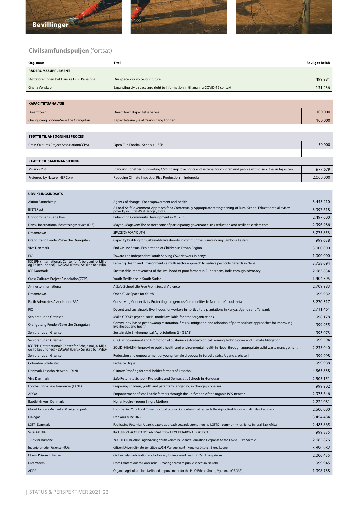





### **Civilsamfundspuljen** (fortsat)

| Org. navn                                   | Titel                                                                         | Bevilget beløb |
|---------------------------------------------|-------------------------------------------------------------------------------|----------------|
| RÅDERUMSSUPPLEMENT                          |                                                                               |                |
| Støtteforeningen Det Danske Hus i Palæstina | Our space, our voice, our future                                              | 499.981        |
| Ghana Venskab                               | Expanding civic space and right to information in Ghana in a COVID-19 context | 131.236        |

| <b>KAPACITETSANALYSE</b>             |                                        |         |
|--------------------------------------|----------------------------------------|---------|
| Dreamtown                            | Dreamtown Kapacitetsanalyse            | 100.000 |
| Orangutang Fonden/Save the Orangutan | Kapacitetsanalyse af Orangutang Fonden | 100.000 |

# **STØTTE TIL ANSØGNINGSPROCES** Cross Cultures Project Association(CCPA) Open Fun Football Schools + SSP 50.000 **STØTTE TIL SAMFINANSIERING** Mission Øst Standing Together: Supporting CSOs to improve rights and services for children and people with disabilities in Tajikistan 977.679 Preferred by Nature (NEPCon) Reducing Climate Impact of Rice Production in Indonesia 2.000.000

| <b>UDVIKLINGSINDSATS</b>                                                                                    |                                                                                                                                                            |           |
|-------------------------------------------------------------------------------------------------------------|------------------------------------------------------------------------------------------------------------------------------------------------------------|-----------|
| Aktion Børnehjælp                                                                                           | Agents of change - For empowerment and health                                                                                                              | 3.445.210 |
| <b>iilNTERest</b>                                                                                           | A Local Self Government Approach for a Contextually Appropriate strengthening of Rural School Educationto alleviate<br>poverty in Rural West Bengal, India | 3.997.618 |
| Ungdommens Røde Kors                                                                                        | <b>Enhancing Community Development in Mukuru</b>                                                                                                           | 2.497.000 |
| Dansk International Bosætningsservice (DIB)                                                                 | Mayon, Magayon: The perfect cone of participatory governance, risk reduction and resilient settlements                                                     | 2.996.986 |
| Dreamtown                                                                                                   | SPACE(S) FOR YOUTH                                                                                                                                         | 3.775.853 |
| Orangutang Fonden/Save the Orangutan                                                                        | Capacity building for sustainable livelihoods in communities surrounding Samboja Lestari                                                                   | 999.638   |
| <b>Viva Danmark</b>                                                                                         | End Online Sexual Exploitation of Children in Davao Region                                                                                                 | 3.000.000 |
| <b>FIC</b>                                                                                                  | Towards an Independant Youth Serving CSO Network in Kenya                                                                                                  | 1.000.000 |
| ICOEPH (Internationalt Center for Arbejdsmiljø, Miljø<br>og Folkesundhed) - DASAM (Dansk Selskab for Miljø- | Farming Health and Environment - a multi sector approach to reduce pesticide hazards in Nepal                                                              | 3.758.094 |
| <b>IGF Danmark</b>                                                                                          | Sustainable improvement of the livelihood of poor farmers in Sunderbans, India through advocacy                                                            | 2.663.834 |
| <b>Cross Cultures Project Association(CCPA)</b>                                                             | Youth Resilience in South Sudan                                                                                                                            | 1.404.395 |
| Amnesty International                                                                                       | A Safe School Life Free From Sexual Violence                                                                                                               | 2.709.983 |
| Dreamtown                                                                                                   | Open Civic Space for Youth                                                                                                                                 | 999.982   |
| Earth Advocates Association (EAA)                                                                           | Conserving Connectivity Protecting Indigenous Communities in Northern Chiquitanía                                                                          | 3.270.317 |
| <b>FIC</b>                                                                                                  | Decent and sustainable livelihoods for workers in horticulture plantations in Kenya, Uganda and Tanzania                                                   | 2.711.461 |
| Seniorer uden Grænser                                                                                       | Make CFOU's psycho-social model available for other organizations                                                                                          | 998.178   |
| Orangutang Fonden/Save the Orangutan                                                                        | Community-based peat-swamp restoration, fire risk mitigation and adoption of permaculture approaches for improving<br>livelihoods and health.              | 999.955   |
| Seniorer uden Grænser                                                                                       | Sustainable Environmental Agro Solutions 2 - (SEAS)                                                                                                        | 993.073   |
| Seniorer uden Grænser                                                                                       | CBO Empowerment and Promotion of Sustainable Agroecological Farming Technologies and Climate Mitigation                                                    | 999.594   |
| ICOEPH (Internationalt Center for Arbejdsmiljø, Miljø<br>og Folkesundhed) - DASAM (Dansk Selskab for Miljø- | SOLID-HEALTH - Improving public health and environmental health in Nepal through appropriate solid waste management                                        | 2.235.040 |
| Seniorer uden Grænser                                                                                       | Reduction and empowerment of young female dropouts in Soroti district, Uganda, phase II                                                                    | 999.998   |
| Colombia Solidaritet                                                                                        | Protesta Digna                                                                                                                                             | 999.988   |
| Denmark Lesotho Network (DLN)                                                                               | Climate Proofing for smallholder farmers of Lesotho                                                                                                        | 4.365.838 |
| Viva Danmark                                                                                                | Safe Return to School - Protective and Democratic Schools in Honduras                                                                                      | 2.505.151 |
| Football for a new tomorrow (FANT)                                                                          | Preparing children, youth and parents for engaging in change processes                                                                                     | 999.902   |
| <b>ADDA</b>                                                                                                 | Empowerment of small-scale farmers through the unification of the organic PGS network                                                                      | 2.973.646 |
| Baptistkirken i Danmark                                                                                     | Ngirankugire - Young Single Mothers                                                                                                                        | 2.224.081 |
| Global Aktion - Mennesker & miljø før profit                                                                | Look Behind Your Food: Towards a food production system that respects the rights, livelihoods and dignity of workers                                       | 2.500.000 |
| <b>Dialogos</b>                                                                                             | Free Your Mine 2025                                                                                                                                        | 3.454.484 |
| LGBT+Danmark                                                                                                | Facilitating Potential: A participatory approach towards strengthening LGBTQ+ community resilience in rural East Africa                                    | 2.483.865 |
| <b>SPOR MEDIA</b>                                                                                           | INCLUSION, ACCEPTANCE AND SAFETY - A FOUNDATIONAL PROJECT                                                                                                  | 999.835   |
| 100% for Børnene                                                                                            | YOUTH ON BOARD: Engendering Youth Voices in Ghana's Education Response to the Covid-19 Pandemic                                                            | 2.685.876 |
| Ingeniører uden Grænser (IUG)                                                                               | Citizen Driven Climate Sensitive WASH Management - Kenema District, Sierra Leone                                                                           | 3.890.982 |
| Ubumi Prisons Initiative                                                                                    | Civil society mobilisation and advocacy for improved health in Zambian prisons                                                                             | 2.006.435 |
| Dreamtown                                                                                                   | From Contentious to Consensus - Creating access to public spaces in Nairobi                                                                                | 999.945   |
| <b>ADDA</b>                                                                                                 | Organic Agriculture for Livelihood Improvement for the Pa-O Ethnic Group, Myanmar (ORGAP)                                                                  | 1.998.738 |